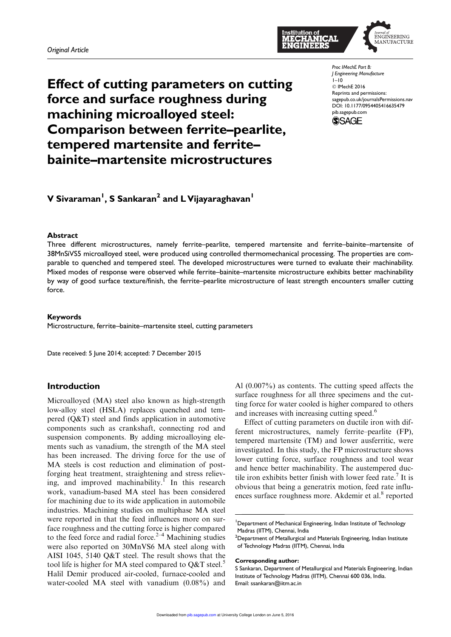

Effect of cutting parameters on cutting force and surface roughness during machining microalloyed steel: Comparison between ferrite–pearlite, tempered martensite and ferrite– bainite–martensite microstructures

*Proc IMechE Part B: J Engineering Manufacture*  $1-10$ © IMechE 2016 Reprints and permissions: sagepub.co.uk/journalsPermissions.nav DOI: 10.1177/0954405416635479 pib.sagepub.com



V Sivaraman<sup>I</sup>, S Sankaran<sup>2</sup> and L Vijayaraghavan<sup>I</sup>

#### Abstract

Three different microstructures, namely ferrite–pearlite, tempered martensite and ferrite–bainite–martensite of 38MnSiVS5 microalloyed steel, were produced using controlled thermomechanical processing. The properties are comparable to quenched and tempered steel. The developed microstructures were turned to evaluate their machinability. Mixed modes of response were observed while ferrite–bainite–martensite microstructure exhibits better machinability by way of good surface texture/finish, the ferrite–pearlite microstructure of least strength encounters smaller cutting force.

#### Keywords

Microstructure, ferrite–bainite–martensite steel, cutting parameters

Date received: 5 June 2014; accepted: 7 December 2015

# Introduction

Microalloyed (MA) steel also known as high-strength low-alloy steel (HSLA) replaces quenched and tempered (Q&T) steel and finds application in automotive components such as crankshaft, connecting rod and suspension components. By adding microalloying elements such as vanadium, the strength of the MA steel has been increased. The driving force for the use of MA steels is cost reduction and elimination of postforging heat treatment, straightening and stress relieving, and improved machinability.<sup>1</sup> In this research work, vanadium-based MA steel has been considered for machining due to its wide application in automobile industries. Machining studies on multiphase MA steel were reported in that the feed influences more on surface roughness and the cutting force is higher compared to the feed force and radial force.<sup>2–4</sup> Machining studies were also reported on 30MnVS6 MA steel along with AISI 1045, 5140 Q&T steel. The result shows that the tool life is higher for MA steel compared to  $Q\&T$  steel.<sup>5</sup> Halil Demir produced air-cooled, furnace-cooled and water-cooled MA steel with vanadium (0.08%) and Al (0.007%) as contents. The cutting speed affects the surface roughness for all three specimens and the cutting force for water cooled is higher compared to others and increases with increasing cutting speed.<sup>6</sup>

Effect of cutting parameters on ductile iron with different microstructures, namely ferrite–pearlite (FP), tempered martensite (TM) and lower ausferritic, were investigated. In this study, the FP microstructure shows lower cutting force, surface roughness and tool wear and hence better machinability. The austempered ductile iron exhibits better finish with lower feed rate.<sup>7</sup> It is obvious that being a generatrix motion, feed rate influences surface roughness more. Akdemir et al.<sup>8</sup> reported

<sup>1</sup>Department of Mechanical Engineering, Indian Institute of Technology Madras (IITM), Chennai, India

 $2$ Department of Metallurgical and Materials Engineering, Indian Institute of Technology Madras (IITM), Chennai, India

Corresponding author:

S Sankaran, Department of Metallurgical and Materials Engineering, Indian Institute of Technology Madras (IITM), Chennai 600 036, India. Email: ssankaran@iitm.ac.in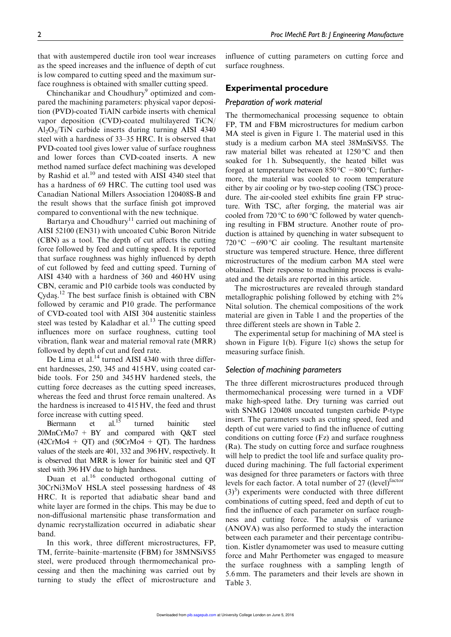that with austempered ductile iron tool wear increases as the speed increases and the influence of depth of cut is low compared to cutting speed and the maximum surface roughness is obtained with smaller cutting speed.

Chinchanikar and Choudhury<sup>9</sup> optimized and compared the machining parameters: physical vapor deposition (PVD)-coated TiAlN carbide inserts with chemical vapor deposition (CVD)-coated multilayered TiCN/  $Al_2O_3/TiN$  carbide inserts during turning AISI 4340 steel with a hardness of 33–35 HRC. It is observed that PVD-coated tool gives lower value of surface roughness and lower forces than CVD-coated inserts. A new method named surface defect machining was developed by Rashid et al.<sup>10</sup> and tested with AISI 4340 steel that has a hardness of 69 HRC. The cutting tool used was Canadian National Millers Association 120408S-B and the result shows that the surface finish got improved compared to conventional with the new technique.

Bartarya and Choudhury<sup>11</sup> carried out machining of AISI 52100 (EN31) with uncoated Cubic Boron Nitride (CBN) as a tool. The depth of cut affects the cutting force followed by feed and cutting speed. It is reported that surface roughness was highly influenced by depth of cut followed by feed and cutting speed. Turning of AISI 4340 with a hardness of 360 and 460 HV using CBN, ceramic and P10 carbide tools was conducted by  $\frac{Cy}{da}$ <sup>12</sup>. The best surface finish is obtained with CBN followed by ceramic and P10 grade. The performance followed by ceramic and P10 grade. The performance of CVD-coated tool with AISI 304 austenitic stainless steel was tested by Kaladhar et al.<sup>13</sup> The cutting speed influences more on surface roughness, cutting tool vibration, flank wear and material removal rate (MRR) followed by depth of cut and feed rate.

De Lima et al. $^{14}$  turned AISI 4340 with three different hardnesses, 250, 345 and 415 HV, using coated carbide tools. For 250 and 345 HV hardened steels, the cutting force decreases as the cutting speed increases, whereas the feed and thrust force remain unaltered. As the hardness is increased to 415 HV, the feed and thrust force increase with cutting speed.

Biermann et al.<sup>15</sup> turned bainitic steel 20MnCrMo7 + BY and compared with Q&T steel  $(42CrMo4 + QT)$  and  $(50CrMo4 + QT)$ . The hardness values of the steels are 401, 332 and 396HV, respectively. It is observed that MRR is lower for bainitic steel and QT steel with 396 HV due to high hardness.

Duan et al.<sup>16</sup> conducted orthogonal cutting of 30CrNi3MoV HSLA steel possessing hardness of 48 HRC. It is reported that adiabatic shear band and white layer are formed in the chips. This may be due to non-diffusional martensitic phase transformation and dynamic recrystallization occurred in adiabatic shear band.

In this work, three different microstructures, FP, TM, ferrite–bainite–martensite (FBM) for 38MNSiVS5 steel, were produced through thermomechanical processing and then the machining was carried out by turning to study the effect of microstructure and influence of cutting parameters on cutting force and surface roughness.

# Experimental procedure

#### *Preparation of work material*

The thermomechanical processing sequence to obtain FP, TM and FBM microstructures for medium carbon MA steel is given in Figure 1. The material used in this study is a medium carbon MA steel 38MnSiVS5. The raw material billet was reheated at  $1250^{\circ}$ C and then soaked for 1h. Subsequently, the heated billet was forged at temperature between  $850^{\circ}$ C  $-800^{\circ}$ C; furthermore, the material was cooled to room temperature either by air cooling or by two-step cooling (TSC) procedure. The air-cooled steel exhibits fine grain FP structure. With TSC, after forging, the material was air cooled from  $720\,^{\circ}\text{C}$  to  $690\,^{\circ}\text{C}$  followed by water quenching resulting in FBM structure. Another route of production is attained by quenching in water subsequent to 720 °C  $-690$  °C air cooling. The resultant martensite structure was tempered structure. Hence, three different microstructures of the medium carbon MA steel were obtained. Their response to machining process is evaluated and the details are reported in this article.

The microstructures are revealed through standard metallographic polishing followed by etching with 2% Nital solution. The chemical compositions of the work material are given in Table 1 and the properties of the three different steels are shown in Table 2.

The experimental setup for machining of MA steel is shown in Figure 1(b). Figure 1(c) shows the setup for measuring surface finish.

## *Selection of machining parameters*

The three different microstructures produced through thermomechanical processing were turned in a VDF make high-speed lathe. Dry turning was carried out with SNMG 120408 uncoated tungsten carbide P-type insert. The parameters such as cutting speed, feed and depth of cut were varied to find the influence of cutting conditions on cutting force (Fz) and surface roughness (Ra). The study on cutting force and surface roughness will help to predict the tool life and surface quality produced during machining. The full factorial experiment was designed for three parameters or factors with three levels for each factor. A total number of 27 ((level)<sup>factor</sup>  $(3)<sup>3</sup>$ ) experiments were conducted with three different combinations of cutting speed, feed and depth of cut to find the influence of each parameter on surface roughness and cutting force. The analysis of variance (ANOVA) was also performed to study the interaction between each parameter and their percentage contribution. Kistler dynamometer was used to measure cutting force and Mahr Perthometer was engaged to measure the surface roughness with a sampling length of 5.6 mm. The parameters and their levels are shown in Table 3.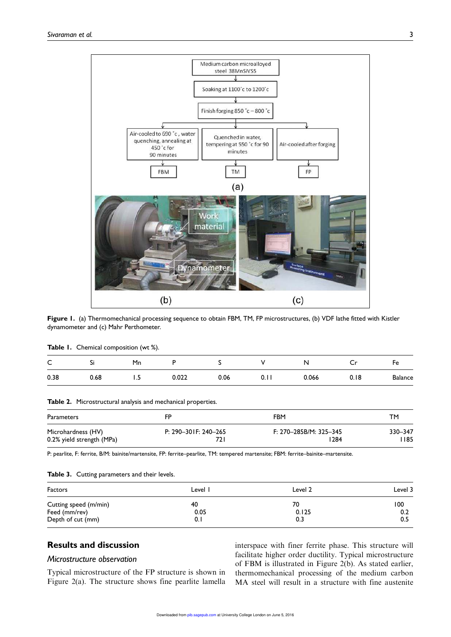

Figure 1. (a) Thermomechanical processing sequence to obtain FBM, TM, FP microstructures, (b) VDF lathe fitted with Kistler dynamometer and (c) Mahr Perthometer.

|  |  | <b>Table 1.</b> Chemical composition (wt %). |  |
|--|--|----------------------------------------------|--|
|--|--|----------------------------------------------|--|

| $\overline{\phantom{0}}$<br>◡ | <br>. . | Mn   |       |      |      | N     | ∼    | Fе             |
|-------------------------------|---------|------|-------|------|------|-------|------|----------------|
| 0.38                          | 0.68    | د. ا | 0.022 | 0.06 | ∪. . | 0.066 | 0.18 | <b>Balance</b> |

Table 2. Microstructural analysis and mechanical properties.

| Parameters                | FP                   | FBM                    | <b>TM</b> |
|---------------------------|----------------------|------------------------|-----------|
| Microhardness (HV)        | P: 290-301F: 240-265 | F: 270-285B/M: 325-345 | 330-347   |
| 0.2% yield strength (MPa) |                      | 1284                   | l 185     |

P: pearlite, F: ferrite, B/M: bainite/martensite, FP: ferrite–pearlite, TM: tempered martensite; FBM: ferrite–bainite–martensite.

#### Table 3. Cutting parameters and their levels.

| <b>Factors</b>                         | Level '    | Level 2     | Level 3    |
|----------------------------------------|------------|-------------|------------|
| Cutting speed (m/min)<br>Feed (mm/rev) | 40<br>0.05 | 70<br>0.125 | 100<br>0.2 |
| Depth of cut (mm)                      | 0.1        | 0.3         | 0.5        |

# Results and discussion

# *Microstructure observation*

Typical microstructure of the FP structure is shown in Figure 2(a). The structure shows fine pearlite lamella interspace with finer ferrite phase. This structure will facilitate higher order ductility. Typical microstructure of FBM is illustrated in Figure 2(b). As stated earlier, thermomechanical processing of the medium carbon MA steel will result in a structure with fine austenite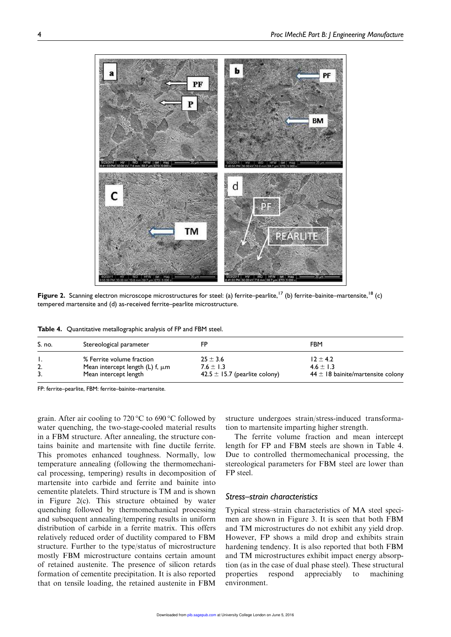

Figure 2. Scanning electron microscope microstructures for steel: (a) ferrite–pearlite,<sup>17</sup> (b) ferrite–bainite–martensite,<sup>18</sup> (c) tempered martensite and (d) as-received ferrite–pearlite microstructure.

Table 4. Quantitative metallographic analysis of FP and FBM steel.

| S. no. | Stereological parameter              | FP                                | <b>FBM</b>                            |
|--------|--------------------------------------|-----------------------------------|---------------------------------------|
| 2.     | % Ferrite volume fraction            | $25 \pm 3.6$                      | $12 \pm 4.2$                          |
|        | Mean intercept length (L) f, $\mu$ m | 7.6 $\pm$ 1.3                     | $4.6 \pm 1.3$                         |
|        | Mean intercept length                | 42.5 $\pm$ 15.7 (pearlite colony) | $44 \pm 18$ bainite/martensite colony |

FP: ferrite–pearlite, FBM: ferrite–bainite–martensite.

grain. After air cooling to 720 °C to 690 °C followed by water quenching, the two-stage-cooled material results in a FBM structure. After annealing, the structure contains bainite and martensite with fine ductile ferrite. This promotes enhanced toughness. Normally, low temperature annealing (following the thermomechanical processing, tempering) results in decomposition of martensite into carbide and ferrite and bainite into cementite platelets. Third structure is TM and is shown in Figure 2(c). This structure obtained by water quenching followed by thermomechanical processing and subsequent annealing/tempering results in uniform distribution of carbide in a ferrite matrix. This offers relatively reduced order of ductility compared to FBM structure. Further to the type/status of microstructure mostly FBM microstructure contains certain amount of retained austenite. The presence of silicon retards formation of cementite precipitation. It is also reported that on tensile loading, the retained austenite in FBM

structure undergoes strain/stress-induced transformation to martensite imparting higher strength.

The ferrite volume fraction and mean intercept length for FP and FBM steels are shown in Table 4. Due to controlled thermomechanical processing, the stereological parameters for FBM steel are lower than FP steel.

#### *Stress–strain characteristics*

Typical stress–strain characteristics of MA steel specimen are shown in Figure 3. It is seen that both FBM and TM microstructures do not exhibit any yield drop. However, FP shows a mild drop and exhibits strain hardening tendency. It is also reported that both FBM and TM microstructures exhibit impact energy absorption (as in the case of dual phase steel). These structural properties respond appreciably to machining environment.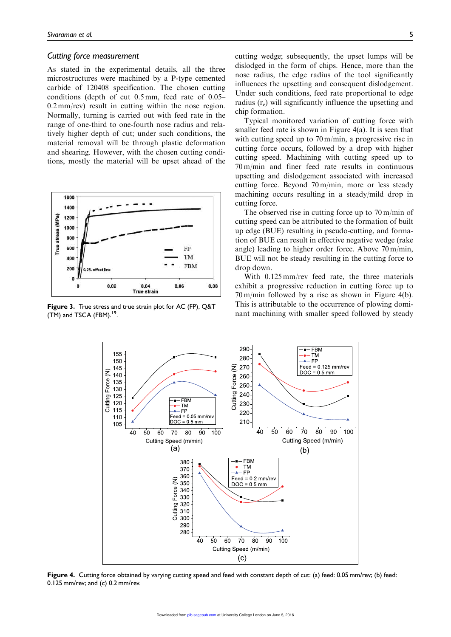#### *Cutting force measurement*

As stated in the experimental details, all the three microstructures were machined by a P-type cemented carbide of 120408 specification. The chosen cutting conditions (depth of cut 0.5 mm, feed rate of 0.05– 0.2 mm/rev) result in cutting within the nose region. Normally, turning is carried out with feed rate in the range of one-third to one-fourth nose radius and relatively higher depth of cut; under such conditions, the material removal will be through plastic deformation and shearing. However, with the chosen cutting conditions, mostly the material will be upset ahead of the



Figure 3. True stress and true strain plot for AC (FP), Q&T  $(TM)$  and TSCA (FBM).<sup>19</sup>.

cutting wedge; subsequently, the upset lumps will be dislodged in the form of chips. Hence, more than the nose radius, the edge radius of the tool significantly influences the upsetting and consequent dislodgement. Under such conditions, feed rate proportional to edge radius (r<sub>e</sub>) will significantly influence the upsetting and chip formation.

Typical monitored variation of cutting force with smaller feed rate is shown in Figure 4(a). It is seen that with cutting speed up to 70 m/min, a progressive rise in cutting force occurs, followed by a drop with higher cutting speed. Machining with cutting speed up to 70 m/min and finer feed rate results in continuous upsetting and dislodgement associated with increased cutting force. Beyond 70 m/min, more or less steady machining occurs resulting in a steady/mild drop in cutting force.

The observed rise in cutting force up to 70 m/min of cutting speed can be attributed to the formation of built up edge (BUE) resulting in pseudo-cutting, and formation of BUE can result in effective negative wedge (rake angle) leading to higher order force. Above 70 m/min, BUE will not be steady resulting in the cutting force to drop down.

With 0.125 mm/rev feed rate, the three materials exhibit a progressive reduction in cutting force up to 70 m/min followed by a rise as shown in Figure 4(b). This is attributable to the occurrence of plowing dominant machining with smaller speed followed by steady



Figure 4. Cutting force obtained by varying cutting speed and feed with constant depth of cut: (a) feed: 0.05 mm/rev; (b) feed: 0.125 mm/rev; and (c) 0.2 mm/rev.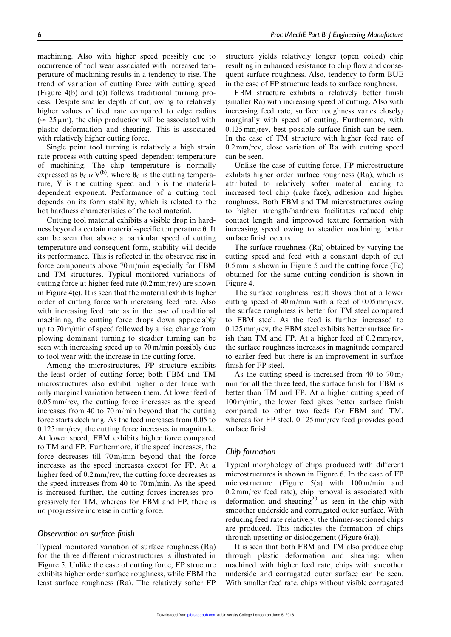machining. Also with higher speed possibly due to occurrence of tool wear associated with increased temperature of machining results in a tendency to rise. The trend of variation of cutting force with cutting speed (Figure 4(b) and (c)) follows traditional turning process. Despite smaller depth of cut, owing to relatively higher values of feed rate compared to edge radius ( $\approx$  25  $\mu$ m), the chip production will be associated with plastic deformation and shearing. This is associated with relatively higher cutting force.

Single point tool turning is relatively a high strain rate process with cutting speed–dependent temperature of machining. The chip temperature is normally expressed as  $\theta_C \alpha V^{(b)}$ , where  $\theta_C$  is the cutting temperature, V is the cutting speed and b is the materialdependent exponent. Performance of a cutting tool depends on its form stability, which is related to the hot hardness characteristics of the tool material.

Cutting tool material exhibits a visible drop in hardness beyond a certain material-specific temperature  $\theta$ . It can be seen that above a particular speed of cutting temperature and consequent form, stability will decide its performance. This is reflected in the observed rise in force components above 70 m/min especially for FBM and TM structures. Typical monitored variations of cutting force at higher feed rate (0.2 mm/rev) are shown in Figure 4(c). It is seen that the material exhibits higher order of cutting force with increasing feed rate. Also with increasing feed rate as in the case of traditional machining, the cutting force drops down appreciably up to 70 m/min of speed followed by a rise; change from plowing dominant turning to steadier turning can be seen with increasing speed up to 70 m/min possibly due to tool wear with the increase in the cutting force.

Among the microstructures, FP structure exhibits the least order of cutting force; both FBM and TM microstructures also exhibit higher order force with only marginal variation between them. At lower feed of 0.05 mm/rev, the cutting force increases as the speed increases from 40 to 70 m/min beyond that the cutting force starts declining. As the feed increases from 0.05 to 0.125 mm/rev, the cutting force increases in magnitude. At lower speed, FBM exhibits higher force compared to TM and FP. Furthermore, if the speed increases, the force decreases till 70 m/min beyond that the force increases as the speed increases except for FP. At a higher feed of 0.2 mm/rev, the cutting force decreases as the speed increases from 40 to 70 m/min. As the speed is increased further, the cutting forces increases progressively for TM, whereas for FBM and FP, there is no progressive increase in cutting force.

## *Observation on surface finish*

Typical monitored variation of surface roughness (Ra) for the three different microstructures is illustrated in Figure 5. Unlike the case of cutting force, FP structure exhibits higher order surface roughness, while FBM the least surface roughness (Ra). The relatively softer FP structure yields relatively longer (open coiled) chip resulting in enhanced resistance to chip flow and consequent surface roughness. Also, tendency to form BUE in the case of FP structure leads to surface roughness.

FBM structure exhibits a relatively better finish (smaller Ra) with increasing speed of cutting. Also with increasing feed rate, surface roughness varies closely/ marginally with speed of cutting. Furthermore, with 0.125 mm/rev, best possible surface finish can be seen. In the case of TM structure with higher feed rate of 0.2 mm/rev, close variation of Ra with cutting speed can be seen.

Unlike the case of cutting force, FP microstructure exhibits higher order surface roughness (Ra), which is attributed to relatively softer material leading to increased tool chip (rake face), adhesion and higher roughness. Both FBM and TM microstructures owing to higher strength/hardness facilitates reduced chip contact length and improved texture formation with increasing speed owing to steadier machining better surface finish occurs.

The surface roughness (Ra) obtained by varying the cutting speed and feed with a constant depth of cut 0.5 mm is shown in Figure 5 and the cutting force (Fc) obtained for the same cutting condition is shown in Figure 4.

The surface roughness result shows that at a lower cutting speed of 40 m/min with a feed of 0.05 mm/rev, the surface roughness is better for TM steel compared to FBM steel. As the feed is further increased to 0.125 mm/rev, the FBM steel exhibits better surface finish than TM and FP. At a higher feed of 0.2 mm/rev, the surface roughness increases in magnitude compared to earlier feed but there is an improvement in surface finish for FP steel.

As the cutting speed is increased from 40 to  $70 \text{ m/s}$ min for all the three feed, the surface finish for FBM is better than TM and FP. At a higher cutting speed of 100 m/min, the lower feed gives better surface finish compared to other two feeds for FBM and TM, whereas for FP steel, 0.125 mm/rev feed provides good surface finish.

#### *Chip formation*

Typical morphology of chips produced with different microstructures is shown in Figure 6. In the case of FP microstructure (Figure 5(a) with 100 m/min and 0.2 mm/rev feed rate), chip removal is associated with deformation and shearing<sup>20</sup> as seen in the chip with smoother underside and corrugated outer surface. With reducing feed rate relatively, the thinner-sectioned chips are produced. This indicates the formation of chips through upsetting or dislodgement (Figure 6(a)).

It is seen that both FBM and TM also produce chip through plastic deformation and shearing; when machined with higher feed rate, chips with smoother underside and corrugated outer surface can be seen. With smaller feed rate, chips without visible corrugated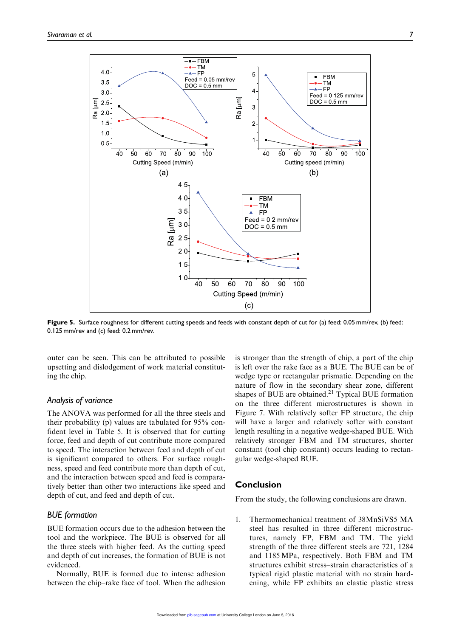

Figure 5. Surface roughness for different cutting speeds and feeds with constant depth of cut for (a) feed: 0.05 mm/rev, (b) feed: 0.125 mm/rev and (c) feed: 0.2 mm/rev.

outer can be seen. This can be attributed to possible upsetting and dislodgement of work material constituting the chip.

#### *Analysis of variance*

The ANOVA was performed for all the three steels and their probability (p) values are tabulated for 95% confident level in Table 5. It is observed that for cutting force, feed and depth of cut contribute more compared to speed. The interaction between feed and depth of cut is significant compared to others. For surface roughness, speed and feed contribute more than depth of cut, and the interaction between speed and feed is comparatively better than other two interactions like speed and depth of cut, and feed and depth of cut.

## *BUE formation*

BUE formation occurs due to the adhesion between the tool and the workpiece. The BUE is observed for all the three steels with higher feed. As the cutting speed and depth of cut increases, the formation of BUE is not evidenced.

Normally, BUE is formed due to intense adhesion between the chip–rake face of tool. When the adhesion

is stronger than the strength of chip, a part of the chip is left over the rake face as a BUE. The BUE can be of wedge type or rectangular prismatic. Depending on the nature of flow in the secondary shear zone, different shapes of BUE are obtained.<sup>21</sup> Typical BUE formation on the three different microstructures is shown in Figure 7. With relatively softer FP structure, the chip will have a larger and relatively softer with constant length resulting in a negative wedge-shaped BUE. With relatively stronger FBM and TM structures, shorter constant (tool chip constant) occurs leading to rectangular wedge-shaped BUE.

## Conclusion

From the study, the following conclusions are drawn.

1. Thermomechanical treatment of 38MnSiVS5 MA steel has resulted in three different microstructures, namely FP, FBM and TM. The yield strength of the three different steels are 721, 1284 and 1185 MPa, respectively. Both FBM and TM structures exhibit stress–strain characteristics of a typical rigid plastic material with no strain hardening, while FP exhibits an elastic plastic stress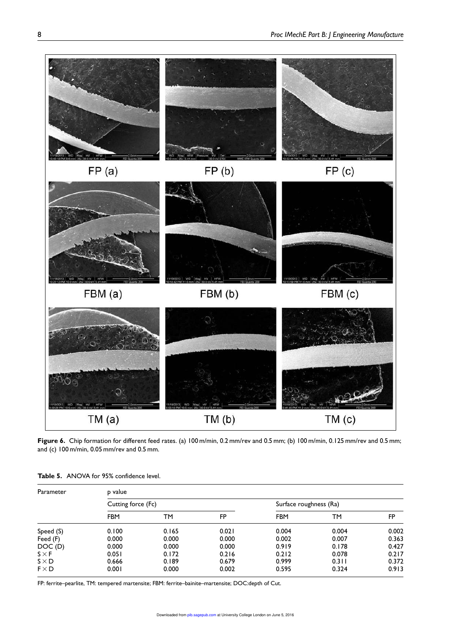

Figure 6. Chip formation for different feed rates. (a) 100 m/min, 0.2 mm/rev and 0.5 mm; (b) 100 m/min, 0.125 mm/rev and 0.5 mm; and (c) 100 m/min, 0.05 mm/rev and 0.5 mm.

| Parameter    | p value            |       |       |                        |       |       |
|--------------|--------------------|-------|-------|------------------------|-------|-------|
|              | Cutting force (Fc) |       |       | Surface roughness (Ra) |       |       |
|              | <b>FBM</b>         | ТM    | FP    | <b>FBM</b>             | TМ    | FP    |
| Speed (S)    | 0.100              | 0.165 | 0.021 | 0.004                  | 0.004 | 0.002 |
| Feed (F)     | 0.000              | 0.000 | 0.000 | 0.002                  | 0.007 | 0.363 |
| DOC(D)       | 0.000              | 0.000 | 0.000 | 0.919                  | 0.178 | 0.427 |
| $S \times F$ | 0.051              | 0.172 | 0.216 | 0.212                  | 0.078 | 0.217 |
| $S \times D$ | 0.666              | 0.189 | 0.679 | 0.999                  | 0.311 | 0.372 |
| $F \times D$ | 0.001              | 0.000 | 0.002 | 0.595                  | 0.324 | 0.913 |

Table 5. ANOVA for 95% confidence level.

FP: ferrite–pearlite, TM: tempered martensite; FBM: ferrite–bainite–martensite; DOC:depth of Cut.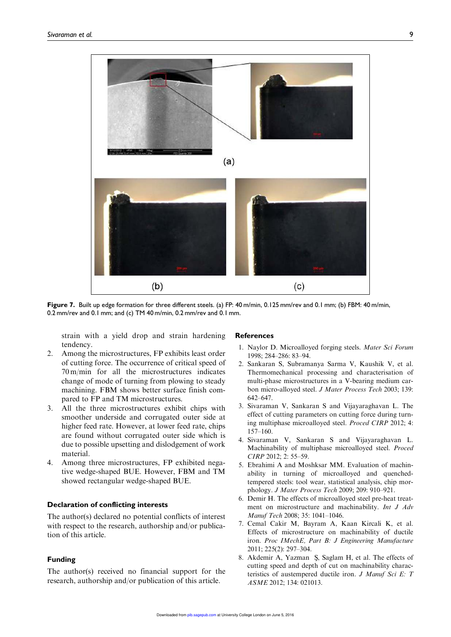

Figure 7. Built up edge formation for three different steels. (a) FP: 40 m/min, 0.125 mm/rev and 0.1 mm; (b) FBM: 40 m/min, 0.2 mm/rev and 0.1 mm; and (c) TM 40 m/min, 0.2 mm/rev and 0.1 mm.

strain with a yield drop and strain hardening tendency.

- 2. Among the microstructures, FP exhibits least order of cutting force. The occurrence of critical speed of 70 m/min for all the microstructures indicates change of mode of turning from plowing to steady machining. FBM shows better surface finish compared to FP and TM microstructures.
- 3. All the three microstructures exhibit chips with smoother underside and corrugated outer side at higher feed rate. However, at lower feed rate, chips are found without corrugated outer side which is due to possible upsetting and dislodgement of work material.
- 4. Among three microstructures, FP exhibited negative wedge-shaped BUE. However, FBM and TM showed rectangular wedge-shaped BUE.

#### Declaration of conflicting interests

The author(s) declared no potential conflicts of interest with respect to the research, authorship and/or publication of this article.

## Funding

The author(s) received no financial support for the research, authorship and/or publication of this article.

#### **References**

- 1. Naylor D. Microalloyed forging steels. Mater Sci Forum 1998; 284–286: 83–94.
- 2. Sankaran S, Subramanya Sarma V, Kaushik V, et al. Thermomechanical processing and characterisation of multi-phase microstructures in a V-bearing medium carbon micro-alloyed steel. J Mater Process Tech 2003; 139: 642–647.
- 3. Sivaraman V, Sankaran S and Vijayaraghavan L. The effect of cutting parameters on cutting force during turning multiphase microalloyed steel. Proced CIRP 2012; 4: 157–160.
- 4. Sivaraman V, Sankaran S and Vijayaraghavan L. Machinability of multiphase microalloyed steel. Proced CIRP 2012; 2: 55–59.
- 5. Ebrahimi A and Moshksar MM. Evaluation of machinability in turning of microalloyed and quenchedtempered steels: tool wear, statistical analysis, chip morphology. J Mater Process Tech 2009; 209: 910–921.
- 6. Demir H. The effects of microalloyed steel pre-heat treatment on microstructure and machinability. Int J Adv Manuf Tech 2008; 35: 1041–1046.
- 7. Cemal Cakir M, Bayram A, Kaan Kircali K, et al. Effects of microstructure on machinability of ductile iron. Proc IMechE, Part B: J Engineering Manufacture 2011; 225(2): 297–304.
- 8. Akdemir A, Yazman Ş, Saglam H, et al. The effects of cutting speed and depth of cut on machinability characteristics of austempered ductile iron. J Manuf Sci E: T ASME 2012; 134: 021013.